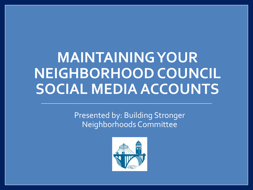# **MAINTAINING YOUR NEIGHBORHOOD COUNCIL SOCIAL MEDIA ACCOUNTS**

Presented by: Building Stronger Neighborhoods Committee

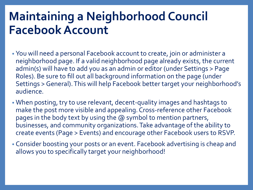## **Maintaining a Neighborhood Council Facebook Account**

- You will need a personal Facebook account to create, join or administer a neighborhood page. If a valid neighborhood page already exists, the current admin(s) will have to add you as an admin or editor (under Settings > Page Roles). Be sure to fill out all background information on the page (under Settings > General). This will help Facebook better target your neighborhood's audience.
- When posting, try to use relevant, decent-quality images and hashtags to make the post more visible and appealing. Cross-reference other Facebook pages in the body text by using the @ symbol to mention partners, businesses, and community organizations. Take advantage of the ability to create events (Page > Events) and encourage other Facebook users to RSVP.
- Consider boosting your posts or an event. Facebook advertising is cheap and allows you to specifically target your neighborhood!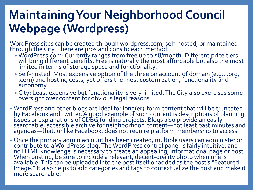## **Maintaining Your Neighborhood Council Webpage (Wordpress)**

WordPress sites can be created through wordpress.com, self-hosted, or maintained through the City. There are pros and cons to each method:

- WordPress.com: Currently ranges from free up to \$8/month. Different price tiers will bring different benefits. Free is naturally the most affordable but also the most limited in terms of storage space and functionality.
- Self-hosted: Most expensive option of the three on account of domain (e.g., .org, .com) and hosting costs, yet offers the most customization, functionality and autonomy.
- City: Least expensive but functionality is very limited. The City also exercises some ovérsight over content for obvious legal reasons.
- WordPress and other blogs are ideal for long(er)-form content that will be truncated by Facebook and Twitter. A good example of such content is descriptions of planning issues or explanations of CDBG funding projects. Blogs also provide an easily searchable, accessible archive for neighborhood content—not least past minutes and<br>agendas—that, unlike Facebook, does not require platform membership to access.
- Once the primary admin account has been created, multiple users can administer or contribute to a WordPress blog. The WordPress control panel is fairly intuitive, and no HTML knowledge is necessary to create an appealing, informational page or post. When posting, be sure to include a relevant, decent-quality photo when one is<br>available. This can be uploaded into the post itself or added as the post's "Featured Image." It also helps to add categories and tags to contextualize the post and make it more searchable.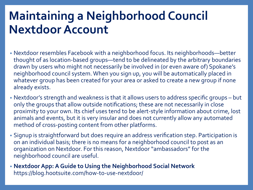## **Maintaining a Neighborhood Council Nextdoor Account**

- Nextdoor resembles Facebook with a neighborhood focus. Its neighborhoods—better thought of as location-based groups—tend to be delineated by the arbitrary boundaries drawn by users who might not necessarily be involved in (or even aware of) Spokane's neighborhood council system. When you sign up, you will be automatically placed in whatever group has been created for your area or asked to create a new group if none already exists.
- Nextdoor's strength and weakness is that it allows users to address specific groups but only the groups that allow outside notifications; these are not necessarily in close proximity to your own. Its chief uses tend to be alert-style information about crime, lost animals and events, but it is very insular and does not currently allow any automated method of cross-posting content from other platforms.
- Signup is straightforward but does require an address verification step. Participation is on an individual basis; there is no means for a neighborhood council to post as an organization on Nextdoor. For this reason, Nextdoor "ambassadors" for the neighborhood council are useful.
- **Nextdoor App: A Guide to Using the Neighborhood Social Network**  https://blog.hootsuite.com/how-to-use-nextdoor/